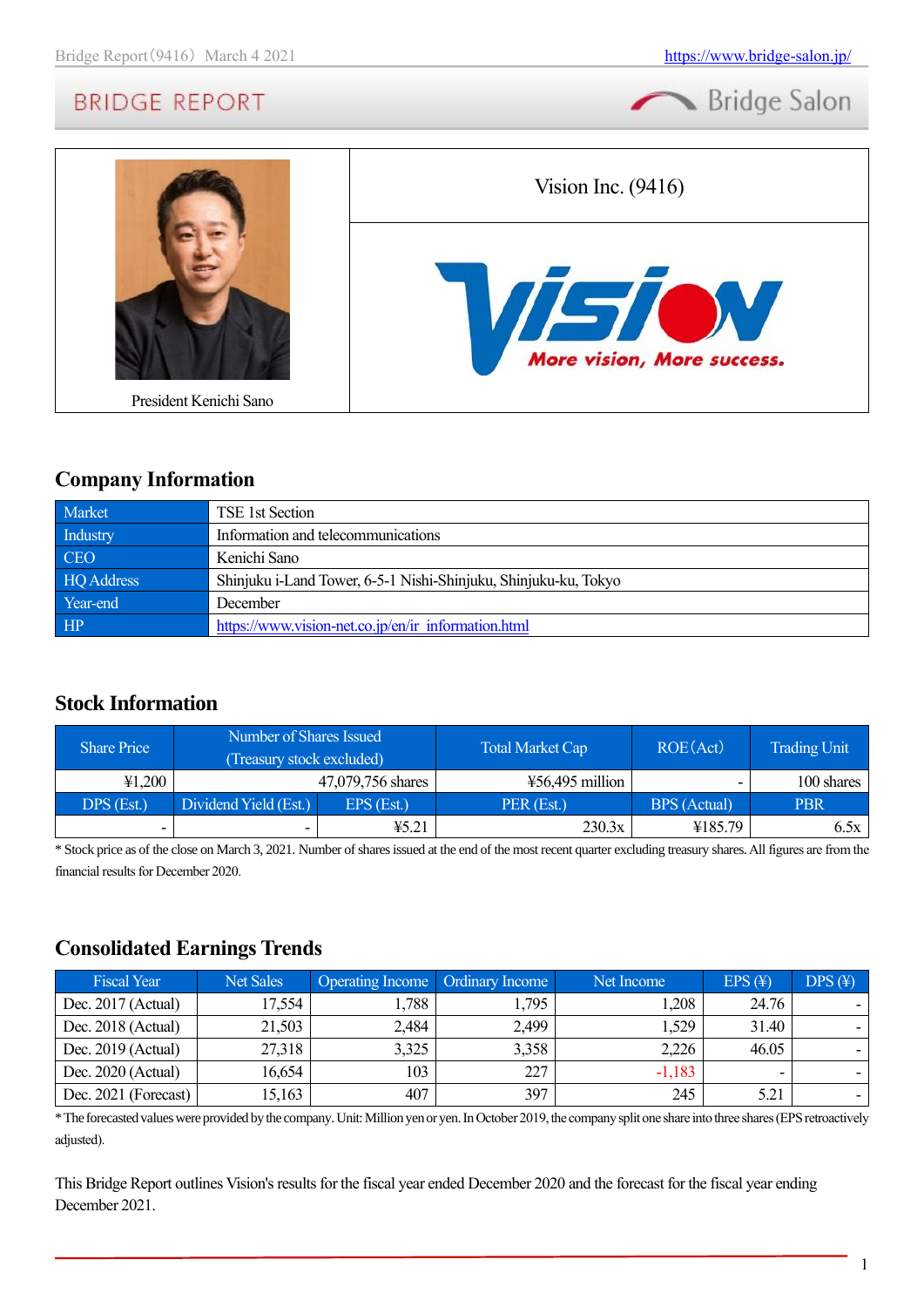



## **Company Information**

| Market     | TSE 1st Section                                                 |
|------------|-----------------------------------------------------------------|
| Industry   | Information and telecommunications                              |
| CEO        | Kenichi Sano                                                    |
| HQ Address | Shinjuku i-Land Tower, 6-5-1 Nishi-Shinjuku, Shinjuku-ku, Tokyo |
| Year-end   | December                                                        |
| HP         | https://www.vision-net.co.jp/en/ir information.html             |

## **Stock Information**

| <b>Share Price</b> | Number of Shares Issued<br>(Treasury stock excluded) |                   | <b>Total Market Cap</b> | ROE(Act)     | <b>Trading Unit</b> |
|--------------------|------------------------------------------------------|-------------------|-------------------------|--------------|---------------------|
| 41,200             |                                                      | 47,079,756 shares | $456,495$ million       |              | 100 shares          |
| DPS (Est.)         | Dividend Yield (Est.)                                | $EPS$ (Est.)      | PER (Est.)              | BPS (Actual) | <b>PBR</b>          |
| -                  | -                                                    | ¥5.21             | 230.3x                  | ¥185.79      | 6.5x                |

\* Stock price as of the close on March 3, 2021. Number of shares issued at the end of the most recent quarter excluding treasury shares.All figures are from the financial results for December 2020.

## **Consolidated Earnings Trends**

| <b>Fiscal Year</b>   | <b>Net Sales</b> | Operating Income   Ordinary Income |       | Net Income | $EPS(\textnormal{\texttt{H}})$ | $DPS(\textnormal{\texttt{F}})$ |
|----------------------|------------------|------------------------------------|-------|------------|--------------------------------|--------------------------------|
| Dec. $2017$ (Actual) | 17,554           | 1,788                              | .,795 | 1,208      | 24.76                          |                                |
| Dec. 2018 (Actual)   | 21,503           | 2,484                              | 2,499 | 1,529      | 31.40                          |                                |
| Dec. $2019$ (Actual) | 27,318           | 3,325                              | 3,358 | 2,226      | 46.05                          |                                |
| Dec. $2020$ (Actual) | 16,654           | 103                                | 227   | $-1,183$   | $\overline{\phantom{a}}$       |                                |
| Dec. 2021 (Forecast) | 15,163           | 407                                | 397   | 245        | 5.21                           |                                |

\* The forecasted values were provided by the company. Unit: Million yen or yen. In October 2019, the company split one share into three shares (EPS retroactively adjusted).

This Bridge Report outlines Vision's results for the fiscal year ended December 2020 and the forecast for the fiscal year ending December 2021.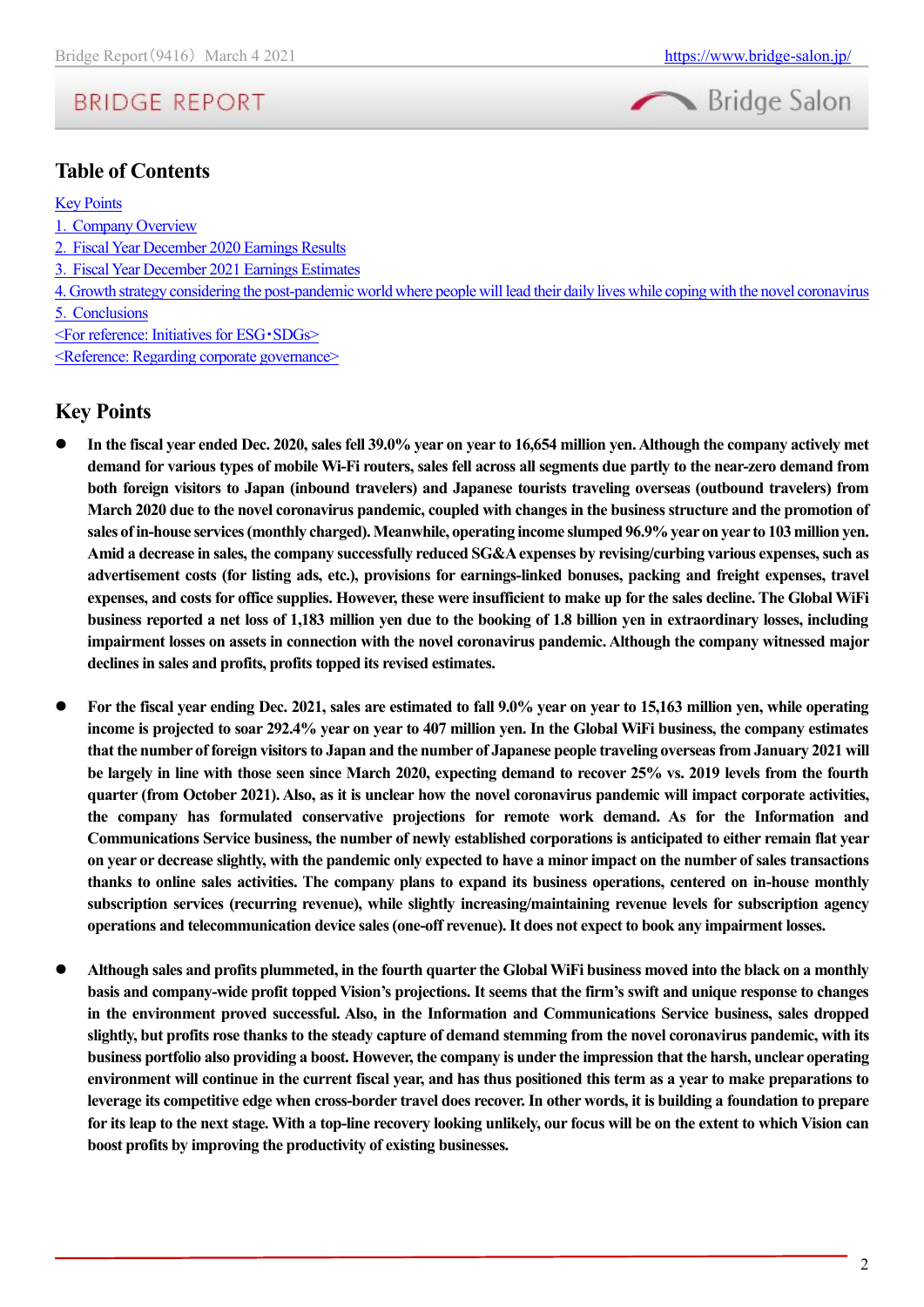

## **Table of Contents**

#### [Key Points](#page-1-0)

- 1.[Company Overview](#page-2-0)
- 2.[Fiscal Year December 2020 Earnings Results](#page-4-0)
- 3.[Fiscal Year December 2021 Earnings Estimates](#page-7-0)
- [4. Growth strategy considering the post-pandemic world where people will lead their daily lives while coping with the novel coronavirus](#page-9-0) 5.[Conclusions](#page-10-0)
- [<For reference: Initiatives for ESG](#page-10-1)・SDGs>

[<Reference: Regarding corporate governance>](#page-11-0)

### <span id="page-1-0"></span>**Key Points**

- ⚫ **In the fiscal year ended Dec. 2020, sales fell 39.0% year on year to 16,654 million yen. Although the company actively met demand for various types of mobile Wi-Fi routers, sales fell across all segments due partly to the near-zero demand from both foreign visitors to Japan (inbound travelers) and Japanese tourists traveling overseas (outbound travelers) from March 2020 due to the novel coronavirus pandemic, coupled with changes in the business structure and the promotion of sales of in-house services (monthly charged). Meanwhile, operating income slumped 96.9% year on year to 103 million yen. Amid a decrease in sales, the company successfully reduced SG&A expenses by revising/curbing various expenses, such as advertisement costs (for listing ads, etc.), provisions for earnings-linked bonuses, packing and freight expenses, travel expenses, and costs for office supplies. However, these were insufficient to make up for the sales decline. The Global WiFi business reported a net loss of 1,183 million yen due to the booking of 1.8 billion yen in extraordinary losses, including impairment losses on assets in connection with the novel coronavirus pandemic. Although the company witnessed major declines in sales and profits, profits topped its revised estimates.**
- ⚫ **For the fiscal year ending Dec. 2021, sales are estimated to fall 9.0% year on year to 15,163 million yen, while operating income is projected to soar 292.4% year on year to 407 million yen. In the Global WiFi business, the company estimates that the number of foreign visitors to Japan and the number of Japanese people traveling overseas from January 2021 will be largely in line with those seen since March 2020, expecting demand to recover 25% vs. 2019 levels from the fourth quarter (from October 2021). Also, as it is unclear how the novel coronavirus pandemic will impact corporate activities, the company has formulated conservative projections for remote work demand. As for the Information and Communications Service business, the number of newly established corporations is anticipated to either remain flat year on year or decrease slightly, with the pandemic only expected to have a minor impact on the number of sales transactions thanks to online sales activities. The company plans to expand its business operations, centered on in-house monthly subscription services (recurring revenue), while slightly increasing/maintaining revenue levels for subscription agency operations and telecommunication device sales (one-off revenue). It does not expect to book any impairment losses.**
- ⚫ **Although sales and profits plummeted, in the fourth quarter the Global WiFi business moved into the black on a monthly basis and company-wide profit topped Vision's projections. It seems that the firm's swift and unique response to changes in the environment proved successful. Also, in the Information and Communications Service business, sales dropped slightly, but profits rose thanks to the steady capture of demand stemming from the novel coronavirus pandemic, with its business portfolio also providing a boost. However, the company is under the impression that the harsh, unclear operating environment will continue in the current fiscal year, and has thus positioned this term as a year to make preparations to leverage its competitive edge when cross-border travel does recover. In other words, it is building a foundation to prepare for its leap to the next stage. With a top-line recovery looking unlikely, our focus will be on the extent to which Vision can boost profits by improving the productivity of existing businesses.**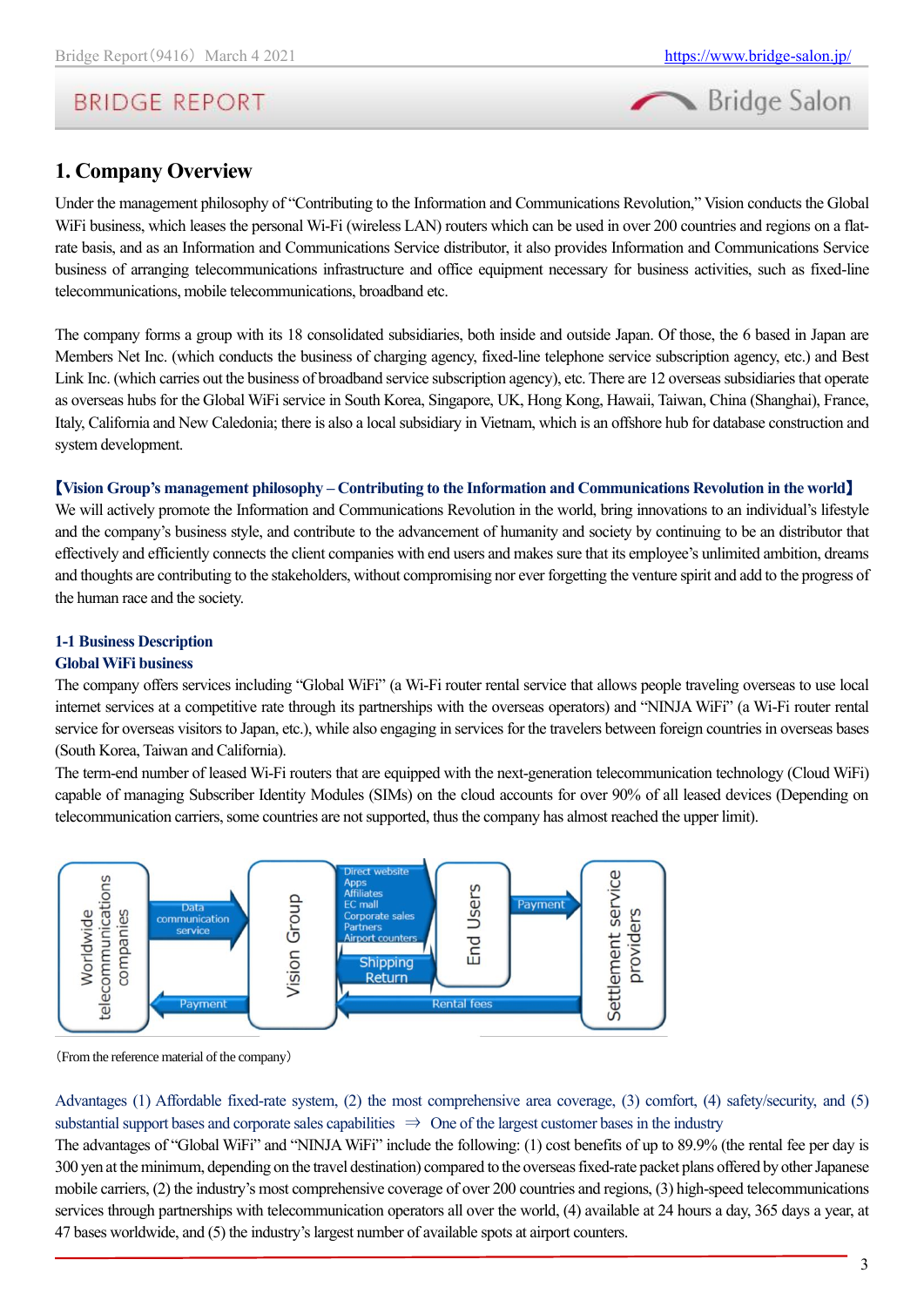

## <span id="page-2-0"></span>**1. Company Overview**

Under the management philosophy of "Contributing to the Information and Communications Revolution," Vision conducts the Global WiFi business, which leases the personal Wi-Fi (wireless LAN) routers which can be used in over 200 countries and regions on a flatrate basis, and as an Information and Communications Service distributor, it also provides Information and Communications Service business of arranging telecommunications infrastructure and office equipment necessary for business activities, such as fixed-line telecommunications, mobile telecommunications, broadband etc.

The company forms a group with its 18 consolidated subsidiaries, both inside and outside Japan. Of those, the 6 based in Japan are Members Net Inc. (which conducts the business of charging agency, fixed-line telephone service subscription agency, etc.) and Best Link Inc. (which carries out the business of broadband service subscription agency), etc. There are 12 overseas subsidiaries that operate as overseas hubs for the Global WiFi service in South Korea, Singapore, UK, Hong Kong, Hawaii, Taiwan, China (Shanghai), France, Italy, California and New Caledonia; there is also a local subsidiary in Vietnam, which is an offshore hub for database construction and system development.

### 【**Vision Group's management philosophy – Contributing to the Information and Communications Revolution in the world**】

We will actively promote the Information and Communications Revolution in the world, bring innovations to an individual's lifestyle and the company's business style, and contribute to the advancement of humanity and society by continuing to be an distributor that effectively and efficiently connects the client companies with end users and makes sure that its employee's unlimited ambition, dreams and thoughts are contributing to the stakeholders, without compromising nor ever forgetting the venture spirit and add to the progress of the human race and the society.

### **1-1 Business Description**

### **Global WiFi business**

The company offers services including "Global WiFi" (a Wi-Fi router rental service that allows people traveling overseas to use local internet services at a competitive rate through its partnerships with the overseas operators) and "NINJA WiFi" (a Wi-Fi router rental service for overseas visitors to Japan, etc.), while also engaging in services for the travelers between foreign countries in overseas bases (South Korea, Taiwan and California).

The term-end number of leased Wi-Fi routers that are equipped with the next-generation telecommunication technology (Cloud WiFi) capable of managing Subscriber Identity Modules (SIMs) on the cloud accounts for over 90% of all leased devices (Depending on telecommunication carriers, some countries are not supported, thus the company has almost reached the upper limit).



(From the reference material of the company)

Advantages (1) Affordable fixed-rate system, (2) the most comprehensive area coverage, (3) comfort, (4) safety/security, and (5) substantial support bases and corporate sales capabilities  $\Rightarrow$  One of the largest customer bases in the industry

The advantages of "Global WiFi" and "NINJA WiFi" include the following: (1) cost benefits of up to 89.9% (the rental fee per day is 300 yen at the minimum, depending on the travel destination) compared to the overseas fixed-rate packet plans offered by other Japanese mobile carriers, (2) the industry's most comprehensive coverage of over 200 countries and regions, (3) high-speed telecommunications services through partnerships with telecommunication operators all over the world, (4) available at 24 hours a day, 365 days a year, at 47 bases worldwide, and (5) the industry's largest number of available spots at airport counters.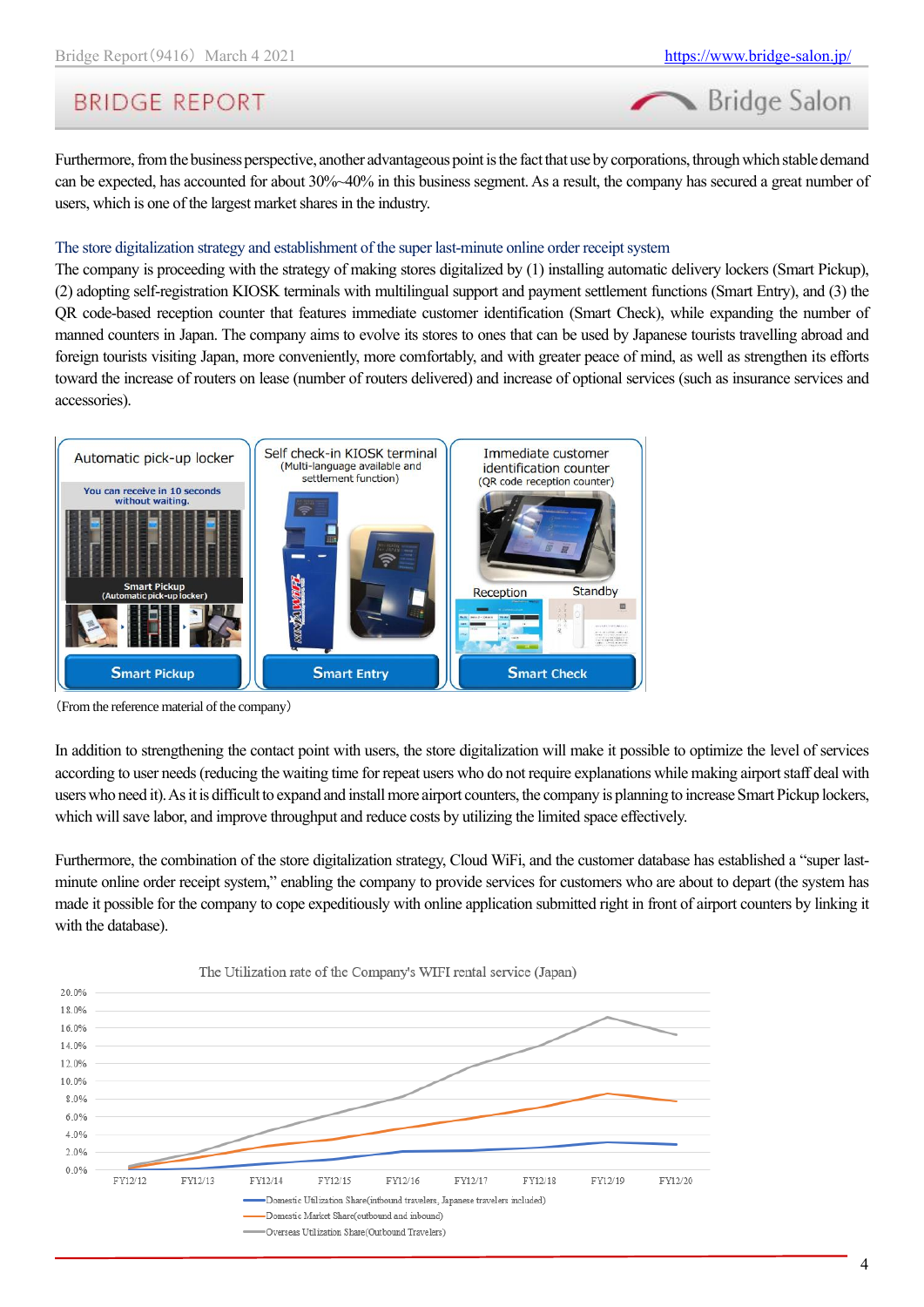Bridge Salon

# **BRIDGE REPORT**

Furthermore, from the business perspective, another advantageous point is the fact that use by corporations, through which stable demand can be expected, has accounted for about 30%~40% in this business segment. As a result, the company has secured a great number of users, which is one of the largest market shares in the industry.

### The store digitalization strategy and establishment of the super last-minute online order receipt system

The company is proceeding with the strategy of making stores digitalized by (1) installing automatic delivery lockers (Smart Pickup), (2) adopting self-registration KIOSK terminals with multilingual support and payment settlement functions (Smart Entry), and (3) the QR code-based reception counter that features immediate customer identification (Smart Check), while expanding the number of manned counters in Japan. The company aims to evolve its stores to ones that can be used by Japanese tourists travelling abroad and foreign tourists visiting Japan, more conveniently, more comfortably, and with greater peace of mind, as well as strengthen its efforts toward the increase of routers on lease (number of routers delivered) and increase of optional services (such as insurance services and accessories).



(From the reference material of the company)

In addition to strengthening the contact point with users, the store digitalization will make it possible to optimize the level of services according to user needs (reducing the waiting time for repeat users who do not require explanations while making airport staff deal with users who need it). As it is difficult to expand and install more airport counters, the company is planning to increase Smart Pickup lockers, which will save labor, and improve throughput and reduce costs by utilizing the limited space effectively.

Furthermore, the combination of the store digitalization strategy, Cloud WiFi, and the customer database has established a "super lastminute online order receipt system," enabling the company to provide services for customers who are about to depart (the system has made it possible for the company to cope expeditiously with online application submitted right in front of airport counters by linking it with the database).

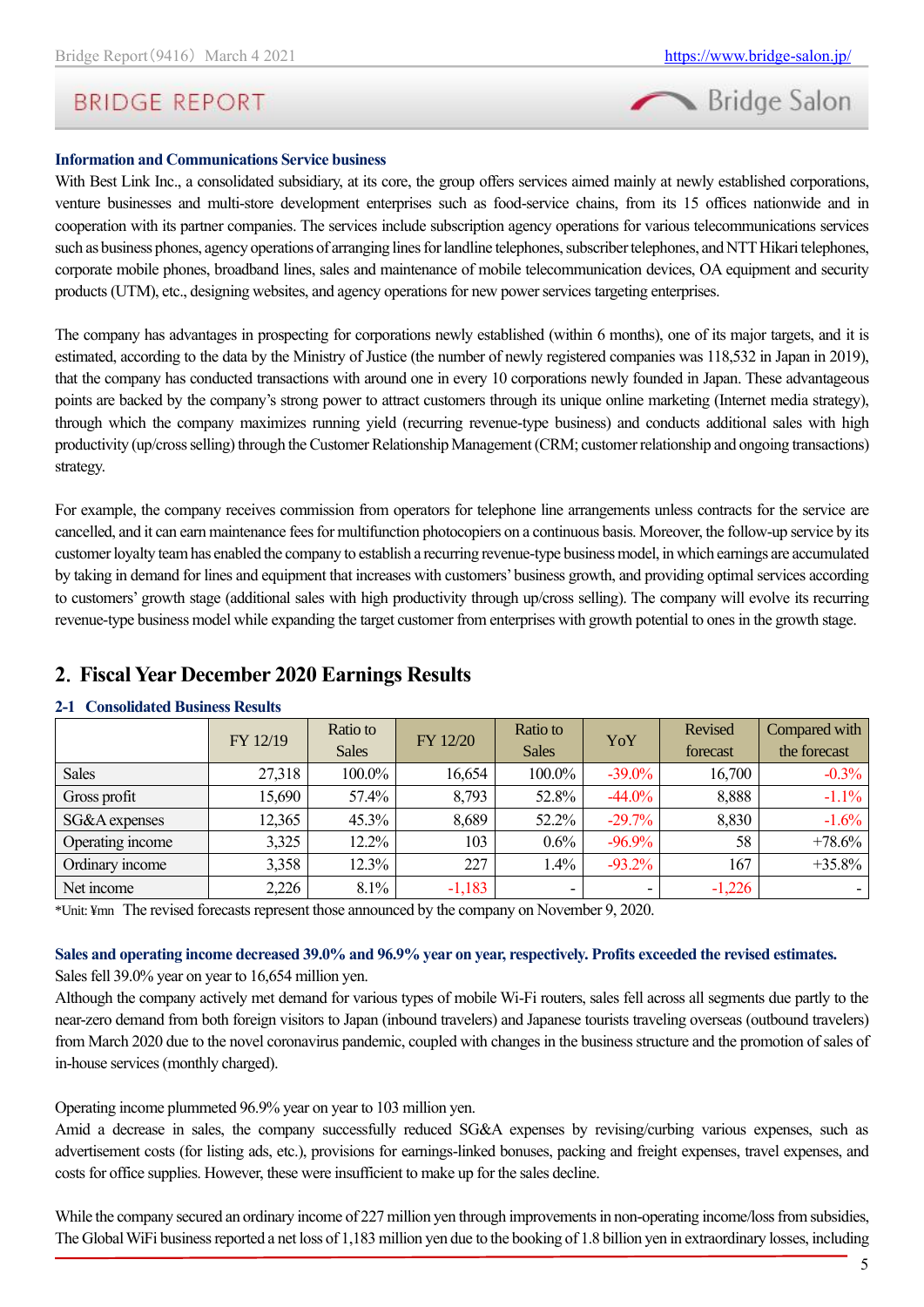

### **Information and Communications Service business**

With Best Link Inc., a consolidated subsidiary, at its core, the group offers services aimed mainly at newly established corporations, venture businesses and multi-store development enterprises such as food-service chains, from its 15 offices nationwide and in cooperation with its partner companies. The services include subscription agency operations for various telecommunications services such as business phones, agency operations of arranging lines for landline telephones, subscriber telephones, and NTT Hikari telephones, corporate mobile phones, broadband lines, sales and maintenance of mobile telecommunication devices, OA equipment and security products (UTM), etc., designing websites, and agency operations for new power services targeting enterprises.

The company has advantages in prospecting for corporations newly established (within 6 months), one of its major targets, and it is estimated, according to the data by the Ministry of Justice (the number of newly registered companies was 118,532 in Japan in 2019), that the company has conducted transactions with around one in every 10 corporations newly founded in Japan. These advantageous points are backed by the company's strong power to attract customers through its unique online marketing (Internet media strategy), through which the company maximizes running yield (recurring revenue-type business) and conducts additional sales with high productivity (up/cross selling) through the Customer Relationship Management (CRM; customer relationship and ongoing transactions) strategy.

For example, the company receives commission from operators for telephone line arrangements unless contracts for the service are cancelled, and it can earn maintenance fees for multifunction photocopiers on a continuous basis. Moreover, the follow-up service by its customer loyalty team has enabled the company to establish a recurring revenue-type business model, in which earnings are accumulated by taking in demand for lines and equipment that increases with customers' business growth, and providing optimal services according to customers' growth stage (additional sales with high productivity through up/cross selling). The company will evolve its recurring revenue-type business model while expanding the target customer from enterprises with growth potential to ones in the growth stage.

### <span id="page-4-0"></span>**2**.**Fiscal Year December 2020 Earnings Results**

### **2-1 Consolidated Business Results**

|                  | FY 12/19 | Ratio to     | FY 12/20 | Ratio to     | YoY       | Revised  | Compared with |
|------------------|----------|--------------|----------|--------------|-----------|----------|---------------|
|                  |          | <b>Sales</b> |          | <b>Sales</b> |           | forecast | the forecast  |
| <b>Sales</b>     | 27,318   | 100.0%       | 16,654   | 100.0%       | $-39.0\%$ | 16,700   | $-0.3\%$      |
| Gross profit     | 15,690   | 57.4%        | 8,793    | 52.8%        | $-44.0\%$ | 8,888    | $-1.1\%$      |
| SG&A expenses    | 12,365   | 45.3%        | 8,689    | 52.2%        | $-29.7%$  | 8,830    | $-1.6%$       |
| Operating income | 3,325    | 12.2%        | 103      | 0.6%         | $-96.9\%$ | 58       | $+78.6\%$     |
| Ordinary income  | 3,358    | 12.3%        | 227      | 1.4%         | $-93.2\%$ | 167      | $+35.8\%$     |
| Net income       | 2,226    | 8.1%         | $-1,183$ | -            |           | $-1,226$ |               |

\*Unit: ¥mn The revised forecastsrepresent those announced by the company on November 9, 2020.

### **Sales and operating income decreased 39.0% and 96.9% year on year, respectively. Profits exceeded the revised estimates.** Sales fell 39.0% year on year to 16,654 million yen.

Although the company actively met demand for various types of mobile Wi-Fi routers, sales fell across all segments due partly to the near-zero demand from both foreign visitors to Japan (inbound travelers) and Japanese tourists traveling overseas (outbound travelers) from March 2020 due to the novel coronavirus pandemic, coupled with changes in the business structure and the promotion of sales of in-house services (monthly charged).

Operating income plummeted 96.9% year on year to 103 million yen.

Amid a decrease in sales, the company successfully reduced SG&A expenses by revising/curbing various expenses, such as advertisement costs (for listing ads, etc.), provisions for earnings-linked bonuses, packing and freight expenses, travel expenses, and costs for office supplies. However, these were insufficient to make up for the sales decline.

While the company secured an ordinary income of 227 million yen through improvements in non-operating income/loss from subsidies, The Global WiFi business reported a net loss of 1,183 million yen due to the booking of 1.8 billion yen in extraordinary losses, including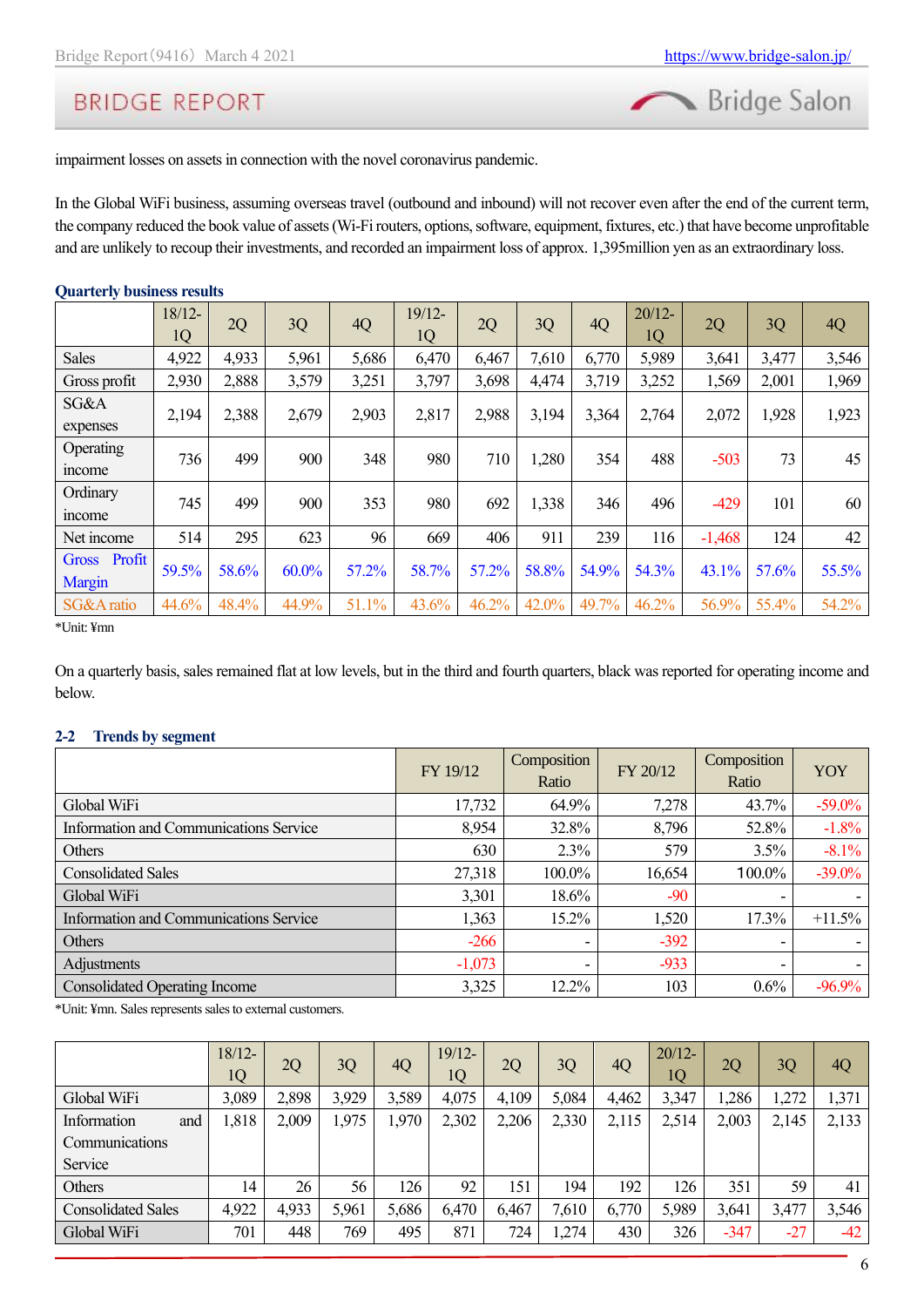

impairment losses on assets in connection with the novel coronavirus pandemic.

In the Global WiFi business, assuming overseas travel (outbound and inbound) will not recover even after the end of the current term, the company reduced the book value of assets (Wi-Fi routers, options, software, equipment, fixtures, etc.) that have become unprofitable and are unlikely to recoup their investments, and recorded an impairment loss of approx. 1,395million yen as an extraordinary loss.

### **Quarterly business results**

|                        | $18/12-$<br>1Q | 2Q    | 3Q       | 4Q    | 19/12-<br>1Q | 2Q    | 3Q    | 4Q    | $20/12-$<br>1Q | 2Q       | 3Q    | 4Q    |
|------------------------|----------------|-------|----------|-------|--------------|-------|-------|-------|----------------|----------|-------|-------|
| <b>Sales</b>           | 4,922          | 4,933 | 5,961    | 5,686 | 6,470        | 6,467 | 7,610 | 6,770 | 5,989          | 3,641    | 3,477 | 3,546 |
| Gross profit           | 2,930          | 2,888 | 3,579    | 3,251 | 3,797        | 3,698 | 4,474 | 3,719 | 3,252          | 1,569    | 2,001 | 1,969 |
| SG&A<br>expenses       | 2,194          | 2,388 | 2,679    | 2,903 | 2,817        | 2,988 | 3,194 | 3,364 | 2,764          | 2,072    | 1,928 | 1,923 |
| Operating<br>mcome     | 736            | 499   | 900      | 348   | 980          | 710   | 1,280 | 354   | 488            | $-503$   | 73    | 45    |
| Ordinary<br>mcome      | 745            | 499   | 900      | 353   | 980          | 692   | 1,338 | 346   | 496            | $-429$   | 101   | 60    |
| Net income             | 514            | 295   | 623      | 96    | 669          | 406   | 911   | 239   | 116            | $-1,468$ | 124   | 42    |
| Gross Profit<br>Margin | 59.5%          | 58.6% | $60.0\%$ | 57.2% | 58.7%        | 57.2% | 58.8% | 54.9% | 54.3%          | 43.1%    | 57.6% | 55.5% |
| SG&A ratio             | 44.6%          | 48.4% | 44.9%    | 51.1% | 43.6%        | 46.2% | 42.0% | 49.7% | 46.2%          | 56.9%    | 55.4% | 54.2% |

\*Unit: ¥mn

On a quarterly basis, sales remained flat at low levels, but in the third and fourth quarters, black was reported for operating income and below.

### **2-2 Trends by segment**

|                                        | FY 19/12 | Composition<br>Ratio | FY 20/12 | Composition<br>Ratio | YOY       |
|----------------------------------------|----------|----------------------|----------|----------------------|-----------|
| Global WiFi                            | 17,732   | 64.9%                | 7,278    | 43.7%                | $-59.0\%$ |
| Information and Communications Service | 8,954    | 32.8%                | 8,796    | 52.8%                | $-1.8%$   |
| Others                                 | 630      | 2.3%                 | 579      | 3.5%                 | $-8.1\%$  |
| <b>Consolidated Sales</b>              | 27,318   | 100.0%               | 16,654   | 100.0%               | $-39.0\%$ |
| Global WiFi                            | 3,301    | 18.6%                | $-90$    |                      |           |
| Information and Communications Service | 1,363    | 15.2%                | 1,520    | 17.3%                | $+11.5%$  |
| Others                                 | $-266$   | -                    | $-392$   |                      |           |
| Adjustments                            | $-1,073$ | -                    | $-933$   |                      |           |
| <b>Consolidated Operating Income</b>   | 3,325    | 12.2%                | 103      | 0.6%                 | $-96.9%$  |

\*Unit: ¥mn. Sales representssales to external customers.

|                           | $18/12-$<br>1Q | 2Q    | 3Q    | 4Q    | $19/12-$<br>1Q | 2Q    | 3Q    | 4Q    | $20/12 -$<br>1Q | 2Q     | 3Q    | 4Q    |
|---------------------------|----------------|-------|-------|-------|----------------|-------|-------|-------|-----------------|--------|-------|-------|
| Global WiFi               | 3,089          | 2,898 | 3,929 | 3,589 | 4,075          | 4,109 | 5,084 | 4,462 | 3,347           | 1,286  | 272   | 1,371 |
| Information<br>and        | 1,818          | 2,009 | 1,975 | 1,970 | 2,302          | 2,206 | 2,330 | 2,115 | 2,514           | 2,003  | 2,145 | 2,133 |
| Communications            |                |       |       |       |                |       |       |       |                 |        |       |       |
| Service                   |                |       |       |       |                |       |       |       |                 |        |       |       |
| Others                    | 14             | 26    | 56    | 126   | 92             | 151   | 194   | 192   | 126             | 351    | 59    | 41    |
| <b>Consolidated Sales</b> | 4,922          | 4,933 | 5,961 | 5,686 | 6,470          | 6,467 | 7,610 | 6,770 | 5,989           | 3,641  | 3,477 | 3,546 |
| Global WiFi               | 701            | 448   | 769   | 495   | 871            | 724   | 1,274 | 430   | 326             | $-347$ | $-27$ | $-42$ |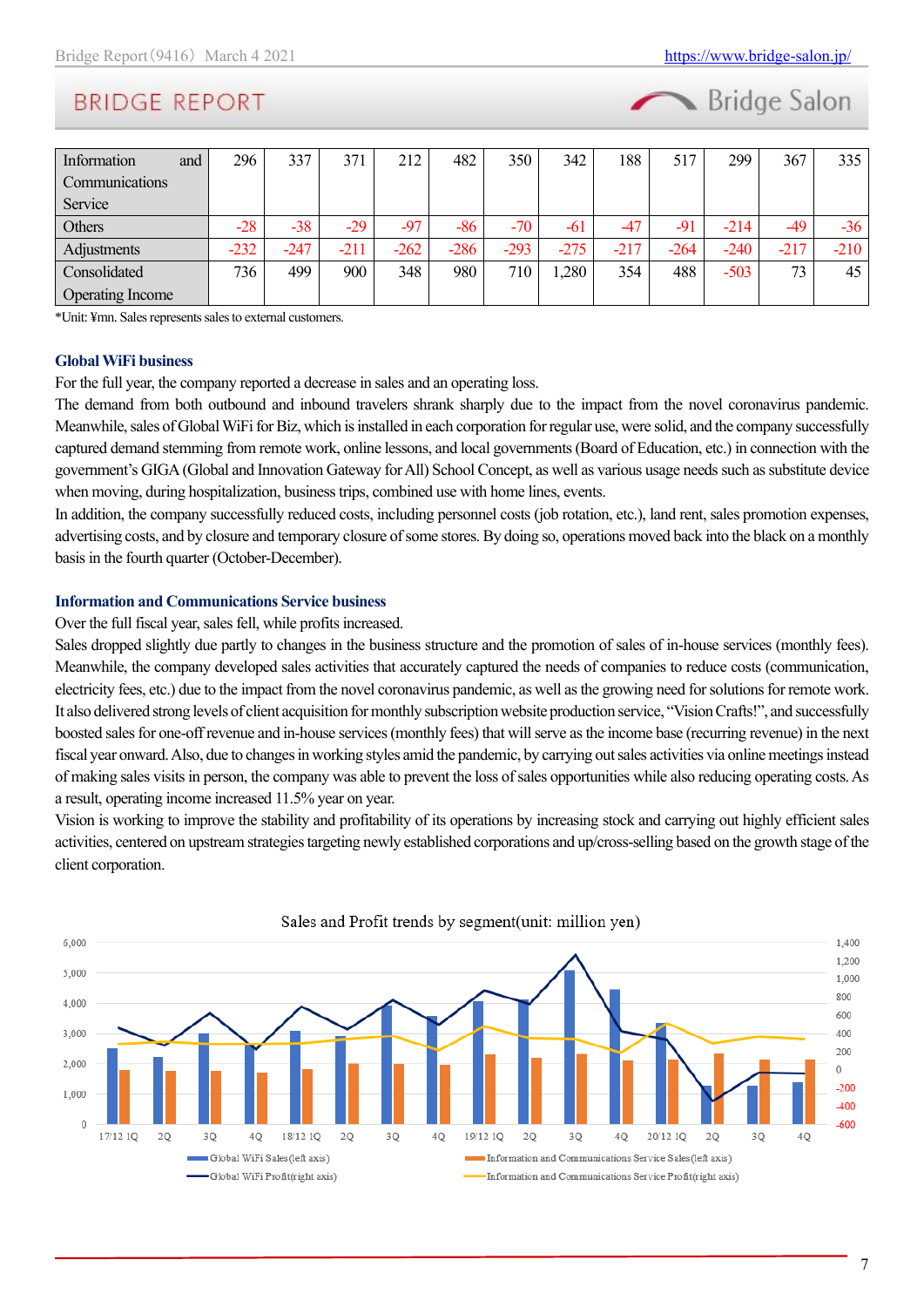

| Information<br>and      | 296    | 337    | 371    | 212    | 482    | 350    | 342    | 188    | 517    | 299    | 367    | 335    |
|-------------------------|--------|--------|--------|--------|--------|--------|--------|--------|--------|--------|--------|--------|
| Communications          |        |        |        |        |        |        |        |        |        |        |        |        |
| Service                 |        |        |        |        |        |        |        |        |        |        |        |        |
| Others                  | $-28$  | $-38$  | $-29$  | $-97$  | -86    | $-70$  | $-61$  | $-47$  | $-91$  | $-214$ | -49    | -36    |
| Adjustments             | $-232$ | $-247$ | $-211$ | $-262$ | $-286$ | $-293$ | $-275$ | $-217$ | $-264$ | $-240$ | $-217$ | $-210$ |
| Consolidated            | 736    | 499    | 900    | 348    | 980    | 710    | ,280   | 354    | 488    | $-503$ | 73     | 45     |
| <b>Operating Income</b> |        |        |        |        |        |        |        |        |        |        |        |        |

\*Unit: ¥mn. Sales represents sales to external customers.

#### **Global WiFi business**

For the full year, the company reported a decrease in sales and an operating loss.

The demand from both outbound and inbound travelers shrank sharply due to the impact from the novel coronavirus pandemic. Meanwhile, sales of Global WiFi for Biz, which is installed in each corporation for regular use, were solid, and the company successfully captured demand stemming from remote work, online lessons, and local governments (Board of Education, etc.) in connection with the government's GIGA (Global and Innovation Gateway for All) School Concept, as well as various usage needs such as substitute device when moving, during hospitalization, business trips, combined use with home lines, events.

In addition, the company successfully reduced costs, including personnel costs (job rotation, etc.), land rent, sales promotion expenses, advertising costs, and by closure and temporary closure of some stores. By doing so, operations moved back into the black on a monthly basis in the fourth quarter (October-December).

### **Information and Communications Service business**

Over the full fiscal year, sales fell, while profits increased.

Sales dropped slightly due partly to changes in the business structure and the promotion of sales of in-house services (monthly fees). Meanwhile, the company developed sales activities that accurately captured the needs of companies to reduce costs (communication, electricity fees, etc.) due to the impact from the novel coronavirus pandemic, as well as the growing need for solutions for remote work. It also delivered strong levels of client acquisition for monthly subscription website production service, "Vision Crafts!", and successfully boosted sales for one-off revenue and in-house services (monthly fees) that will serve as the income base (recurring revenue) in the next fiscal year onward. Also, due to changes in working styles amid the pandemic, by carrying out sales activities via online meetings instead of making sales visits in person, the company was able to prevent the loss of sales opportunities while also reducing operating costs. As a result, operating income increased 11.5% year on year.

Vision is working to improve the stability and profitability of its operations by increasing stock and carrying out highly efficient sales activities, centered on upstream strategies targeting newly established corporations and up/cross-selling based on the growth stage of the client corporation.

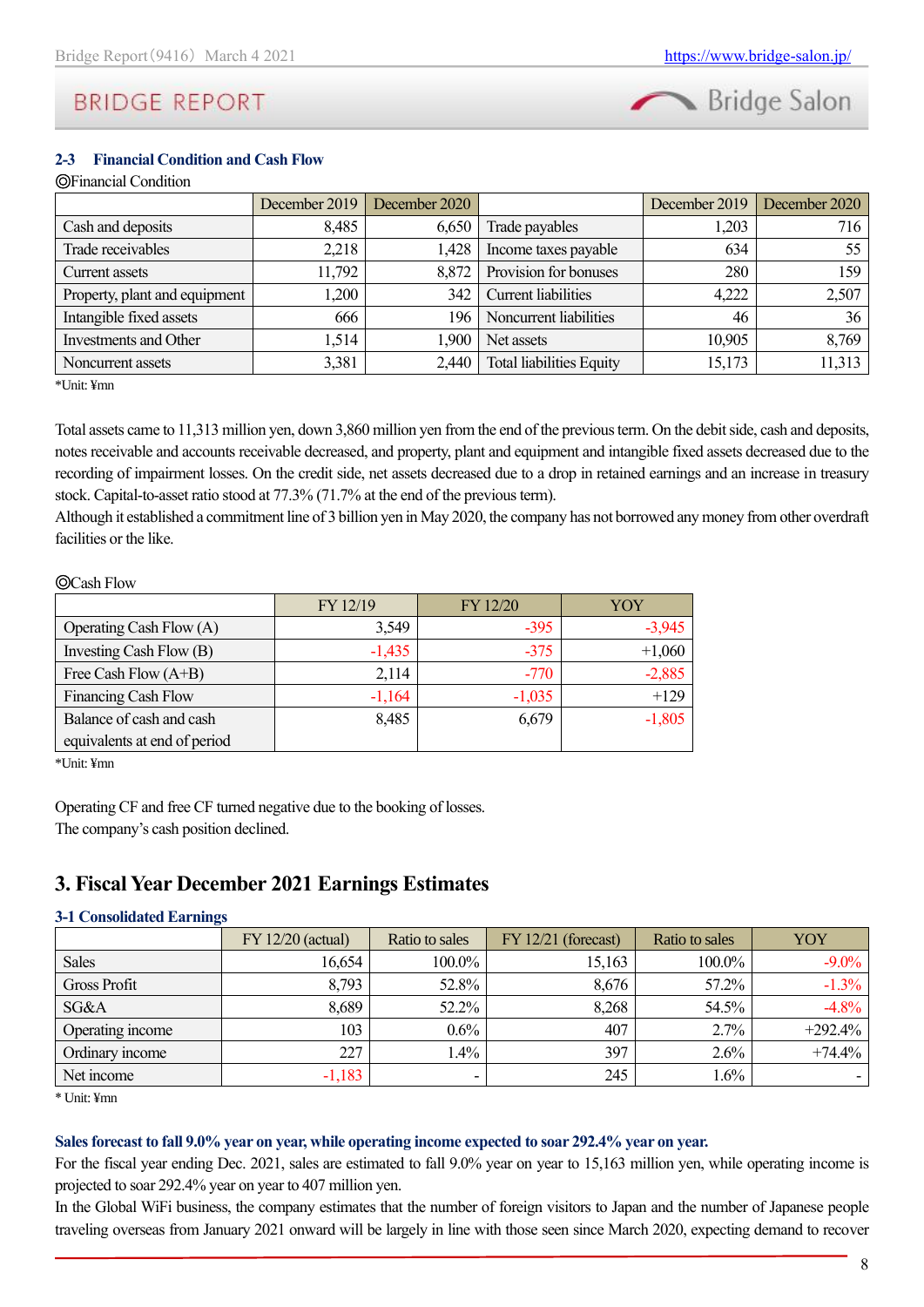

### **2-3 Financial Condition and Cash Flow**

### ◎Financial Condition

|                               | December 2019 | December 2020 |                                 | December 2019 | December 2020 |
|-------------------------------|---------------|---------------|---------------------------------|---------------|---------------|
| Cash and deposits             | 8,485         | 6,650         | Trade payables                  | 1,203         | 716           |
| Trade receivables             | 2,218         | 1,428         | Income taxes payable            | 634           | 55            |
| Current assets                | 11,792        | 8.872         | Provision for bonuses           | 280           | 159           |
| Property, plant and equipment | 1,200         | 342           | <b>Current</b> liabilities      | 4,222         | 2,507         |
| Intangible fixed assets       | 666           | 196           | Noncurrent liabilities          | 46            | 36            |
| Investments and Other         | 1,514         | 1,900         | Net assets                      | 10,905        | 8,769         |
| Noncurrent assets             | 3,381         | 2,440         | <b>Total liabilities Equity</b> | 15,173        | 11,313        |

\*Unit: ¥mn

Total assets came to 11,313 million yen, down 3,860 million yen from the end of the previous term. On the debit side, cash and deposits, notes receivable and accounts receivable decreased, and property, plant and equipment and intangible fixed assets decreased due to the recording of impairment losses. On the credit side, net assets decreased due to a drop in retained earnings and an increase in treasury stock. Capital-to-asset ratio stood at 77.3% (71.7% at the end of the previous term).

Although it established a commitment line of 3 billion yen in May 2020, the company has not borrowed any money from other overdraft facilities or the like.

### ◎Cash Flow

|                              | FY 12/19 | FY 12/20 | YOY      |
|------------------------------|----------|----------|----------|
| Operating Cash Flow $(A)$    | 3,549    | $-395$   | $-3,945$ |
| Investing Cash Flow (B)      | $-1,435$ | $-375$   | $+1,060$ |
| Free Cash Flow $(A+B)$       | 2,114    | $-770$   | $-2,885$ |
| Financing Cash Flow          | $-1,164$ | $-1,035$ | $+129$   |
| Balance of cash and cash     | 8,485    | 6,679    | $-1,805$ |
| equivalents at end of period |          |          |          |

\*Unit: ¥mn

Operating CF and free CF turned negative due to the booking of losses. The company's cash position declined.

### <span id="page-7-0"></span>**3. Fiscal Year December 2021 Earnings Estimates**

### **3-1 Consolidated Earnings**

|                     | $FY$ 12/20 (actual) | Ratio to sales |        | Ratio to sales | YOY        |
|---------------------|---------------------|----------------|--------|----------------|------------|
| <b>Sales</b>        | 16,654              | 100.0%         | 15,163 | 100.0%         | $-9.0\%$   |
| <b>Gross Profit</b> | 8,793               | 52.8%          | 8,676  | 57.2%          | $-1.3\%$   |
| SG&A                | 8,689               | 52.2%          | 8,268  | 54.5%          | $-4.8\%$   |
| Operating income    | 103                 | $0.6\%$        | 407    | 2.7%           | $+292.4\%$ |
| Ordinary income     | 227                 | $.4\%$         | 397    | 2.6%           | $+74.4\%$  |
| Net income          | $-1,183$            |                | 245    | $1.6\%$        |            |

\* Unit: ¥mn

#### **Sales forecast to fall 9.0% year on year, while operating income expected to soar 292.4% year on year.**

For the fiscal year ending Dec. 2021, sales are estimated to fall 9.0% year on year to 15,163 million yen, while operating income is projected to soar 292.4% year on year to 407 million yen.

In the Global WiFi business, the company estimates that the number of foreign visitors to Japan and the number of Japanese people traveling overseas from January 2021 onward will be largely in line with those seen since March 2020, expecting demand to recover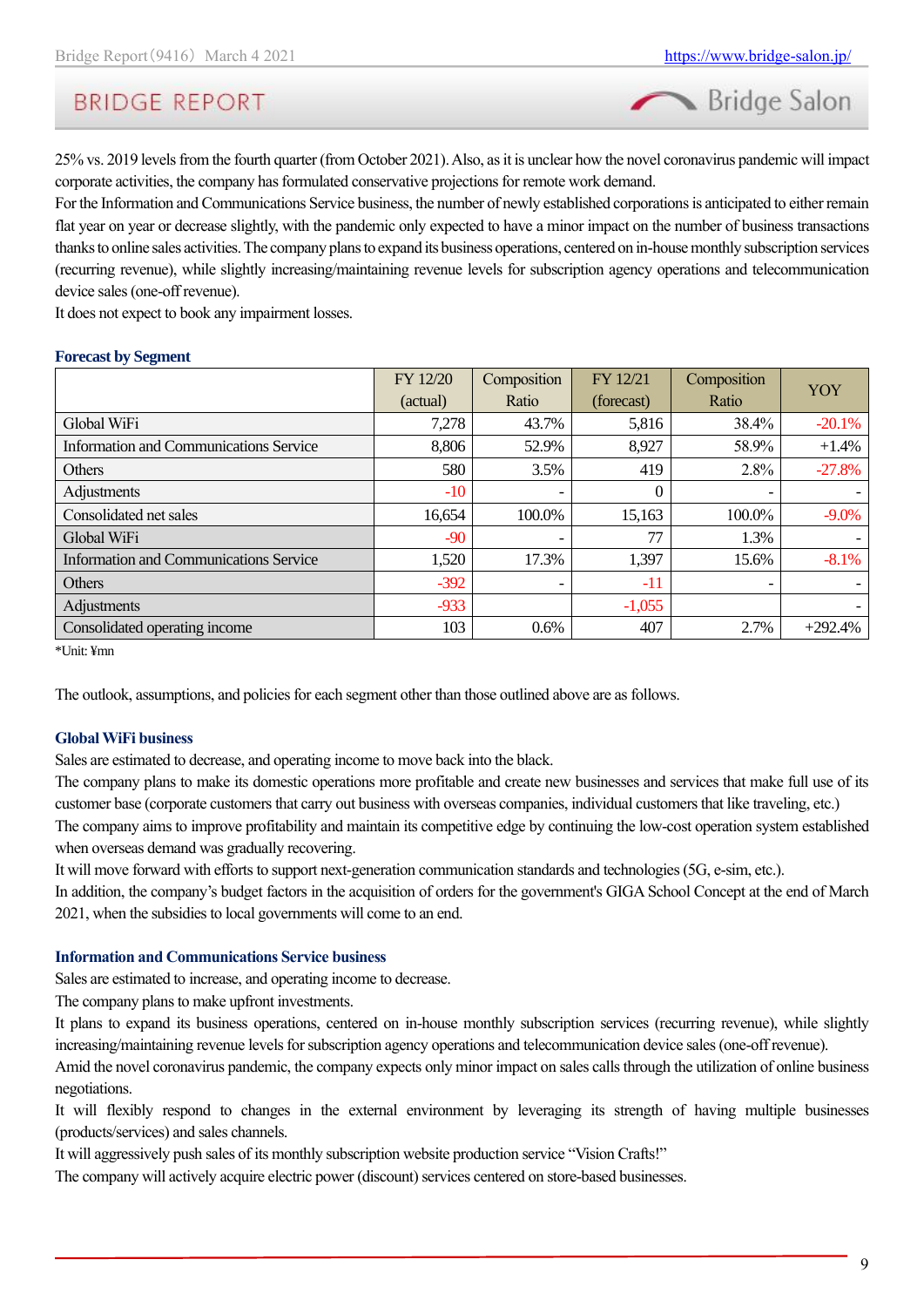Bridge Salon

25% vs. 2019 levels from the fourth quarter (from October 2021). Also, as it is unclear how the novel coronavirus pandemic will impact corporate activities, the company has formulated conservative projections for remote work demand.

For the Information and Communications Service business, the number of newly established corporations is anticipated to either remain flat year on year or decrease slightly, with the pandemic only expected to have a minor impact on the number of business transactions thanks to online sales activities. The company plans to expand its business operations, centered on in-house monthly subscription services (recurring revenue), while slightly increasing/maintaining revenue levels for subscription agency operations and telecommunication device sales (one-off revenue).

It does not expect to book any impairment losses.

#### **Forecast by Segment**

|                                               | FY 12/20 | Composition              | FY 12/21   | Composition | YOY       |
|-----------------------------------------------|----------|--------------------------|------------|-------------|-----------|
|                                               | (actual) | Ratio                    | (forecast) | Ratio       |           |
| Global WiFi                                   | 7,278    | 43.7%                    | 5,816      | 38.4%       | $-20.1%$  |
| <b>Information and Communications Service</b> | 8,806    | 52.9%                    | 8,927      | 58.9%       | $+1.4%$   |
| <b>Others</b>                                 | 580      | 3.5%                     | 419        | 2.8%        | $-27.8%$  |
| Adjustments                                   | $-10$    | $\qquad \qquad$          | $\theta$   |             |           |
| Consolidated net sales                        | 16,654   | 100.0%                   | 15,163     | 100.0%      | $-9.0%$   |
| Global WiFi                                   | $-90$    | $\overline{\phantom{0}}$ | 77         | 1.3%        |           |
| <b>Information and Communications Service</b> | 1,520    | 17.3%                    | 1,397      | 15.6%       | $-8.1%$   |
| Others                                        | $-392$   | $\qquad \qquad$          | $-11$      |             |           |
| Adjustments                                   | $-933$   |                          | $-1,055$   |             |           |
| Consolidated operating income                 | 103      | $0.6\%$                  | 407        | 2.7%        | $+292.4%$ |

\*Unit: ¥mn

The outlook, assumptions, and policies for each segment other than those outlined above are as follows.

### **Global WiFi business**

Sales are estimated to decrease, and operating income to move back into the black.

The company plans to make its domestic operations more profitable and create new businesses and services that make full use of its customer base (corporate customers that carry out business with overseas companies, individual customers that like traveling, etc.) The company aims to improve profitability and maintain its competitive edge by continuing the low-cost operation system established when overseas demand was gradually recovering.

It will move forward with efforts to support next-generation communication standards and technologies (5G, e-sim, etc.).

In addition, the company's budget factors in the acquisition of orders for the government's GIGA School Concept at the end of March 2021, when the subsidies to local governments will come to an end.

#### **Information and Communications Service business**

Sales are estimated to increase, and operating income to decrease.

The company plans to make upfront investments.

It plans to expand its business operations, centered on in-house monthly subscription services (recurring revenue), while slightly increasing/maintaining revenue levels for subscription agency operations and telecommunication device sales (one-off revenue).

Amid the novel coronavirus pandemic, the company expects only minor impact on sales calls through the utilization of online business negotiations.

It will flexibly respond to changes in the external environment by leveraging its strength of having multiple businesses (products/services) and sales channels.

It will aggressively push sales of its monthly subscription website production service "Vision Crafts!"

The company will actively acquire electric power (discount) services centered on store-based businesses.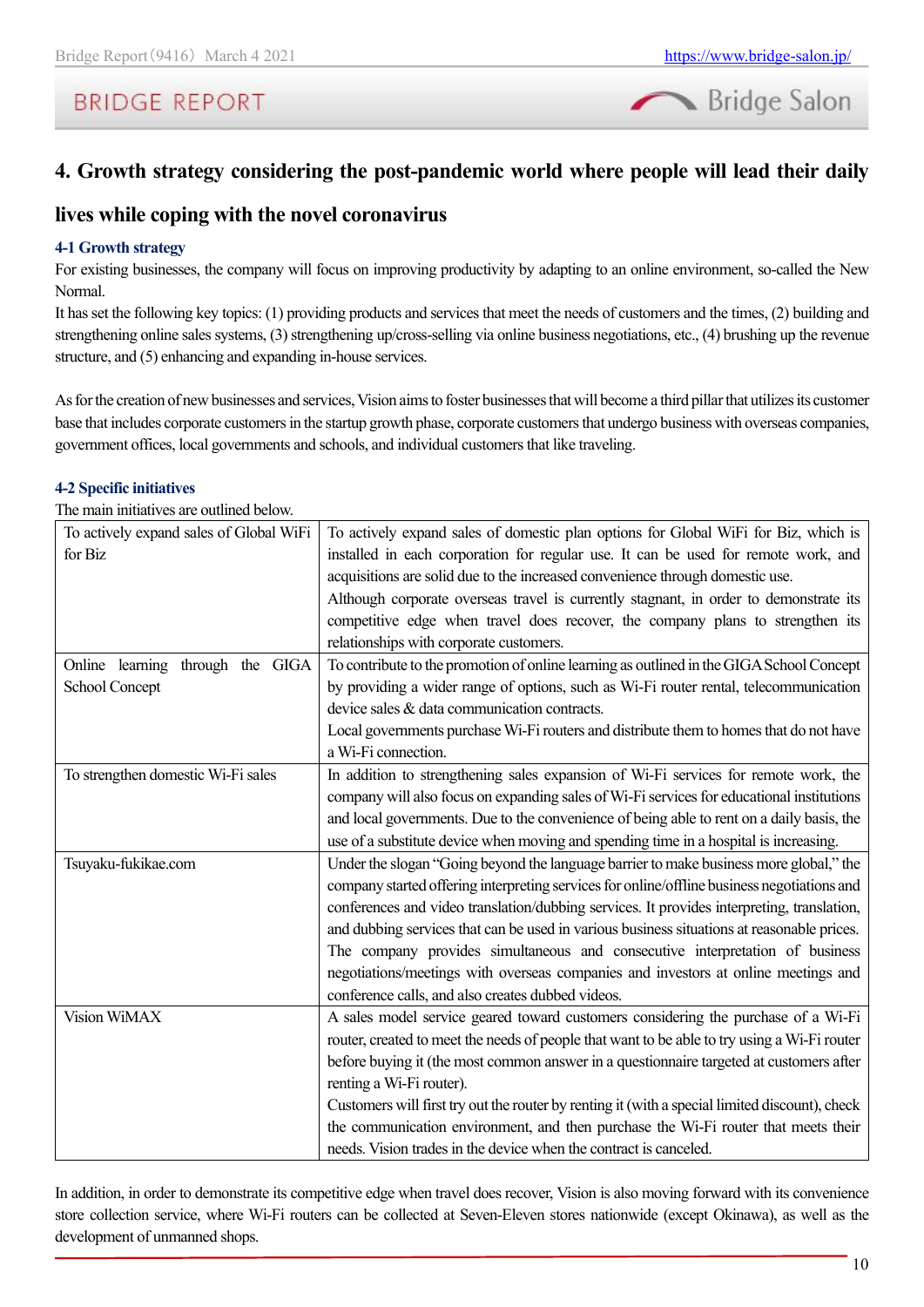

## <span id="page-9-0"></span>**4. Growth strategy considering the post-pandemic world where people will lead their daily**

### **lives while coping with the novel coronavirus**

### **4-1 Growth strategy**

For existing businesses, the company will focus on improving productivity by adapting to an online environment, so-called the New Normal.

It has set the following key topics: (1) providing products and services that meet the needs of customers and the times, (2) building and strengthening online sales systems, (3) strengthening up/cross-selling via online business negotiations, etc., (4) brushing up the revenue structure, and (5) enhancing and expanding in-house services.

As for the creation of new businesses and services, Vision aims to foster businesses that will become a third pillar that utilizes its customer base that includes corporate customers in the startup growth phase, corporate customers that undergo business with overseas companies, government offices, local governments and schools, and individual customers that like traveling.

### **4-2 Specific initiatives**

The main initiatives are outlined below.

| To actively expand sales of Global WiFi | To actively expand sales of domestic plan options for Global WiFi for Biz, which is            |
|-----------------------------------------|------------------------------------------------------------------------------------------------|
| for Biz                                 | installed in each corporation for regular use. It can be used for remote work, and             |
|                                         | acquisitions are solid due to the increased convenience through domestic use.                  |
|                                         | Although corporate overseas travel is currently stagnant, in order to demonstrate its          |
|                                         | competitive edge when travel does recover, the company plans to strengthen its                 |
|                                         | relationships with corporate customers.                                                        |
| Online learning through the GIGA        | To contribute to the promotion of online learning as outlined in the GIGA School Concept       |
| School Concept                          | by providing a wider range of options, such as Wi-Fi router rental, telecommunication          |
|                                         | device sales & data communication contracts.                                                   |
|                                         | Local governments purchase Wi-Fi routers and distribute them to homes that do not have         |
|                                         | a Wi-Fi connection.                                                                            |
| To strengthen domestic Wi-Fi sales      | In addition to strengthening sales expansion of Wi-Fi services for remote work, the            |
|                                         | company will also focus on expanding sales of Wi-Fi services for educational institutions      |
|                                         | and local governments. Due to the convenience of being able to rent on a daily basis, the      |
|                                         | use of a substitute device when moving and spending time in a hospital is increasing.          |
| Tsuyaku-fukikae.com                     | Under the slogan "Going beyond the language barrier to make business more global," the         |
|                                         | company started offering interpreting services for online/offline business negotiations and    |
|                                         | conferences and video translation/dubbing services. It provides interpreting, translation,     |
|                                         | and dubbing services that can be used in various business situations at reasonable prices.     |
|                                         | The company provides simultaneous and consecutive interpretation of business                   |
|                                         | negotiations/meetings with overseas companies and investors at online meetings and             |
|                                         | conference calls, and also creates dubbed videos.                                              |
| Vision WiMAX                            | A sales model service geared toward customers considering the purchase of a Wi-Fi              |
|                                         | router, created to meet the needs of people that want to be able to try using a Wi-Fi router   |
|                                         | before buying it (the most common answer in a questionnaire targeted at customers after        |
|                                         | renting a Wi-Fi router).                                                                       |
|                                         | Customers will first try out the router by renting it (with a special limited discount), check |
|                                         | the communication environment, and then purchase the Wi-Fi router that meets their             |
|                                         | needs. Vision trades in the device when the contract is canceled.                              |

In addition, in order to demonstrate its competitive edge when travel does recover, Vision is also moving forward with its convenience store collection service, where Wi-Fi routers can be collected at Seven-Eleven stores nationwide (except Okinawa), as well as the development of unmanned shops.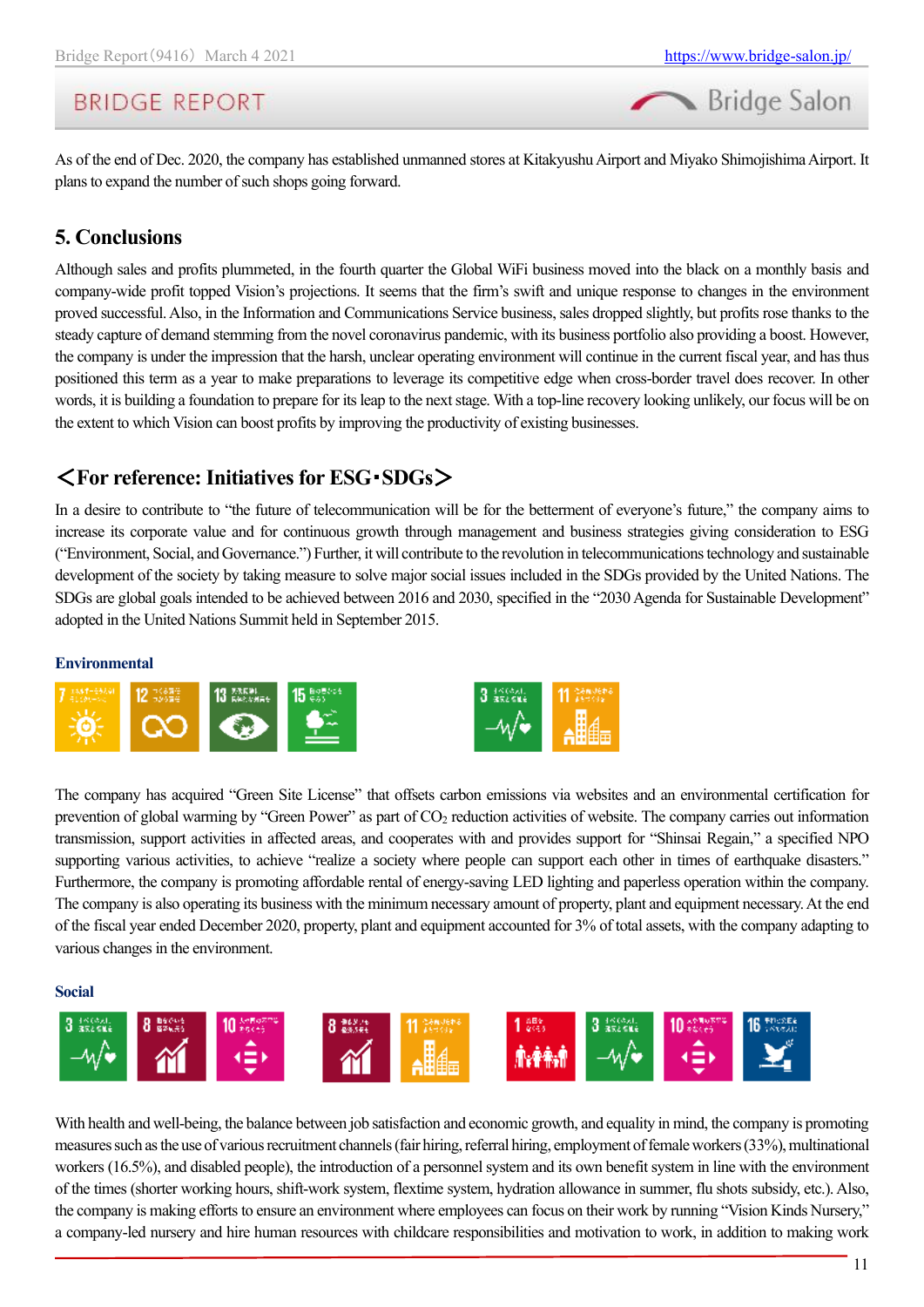Bridge Salon

As of the end of Dec. 2020, the company has established unmanned stores at Kitakyushu Airport and Miyako Shimojishima Airport. It plans to expand the number of such shops going forward.

## <span id="page-10-0"></span>**5. Conclusions**

Although sales and profits plummeted, in the fourth quarter the Global WiFi business moved into the black on a monthly basis and company-wide profit topped Vision's projections. It seems that the firm's swift and unique response to changes in the environment proved successful. Also, in the Information and Communications Service business, sales dropped slightly, but profits rose thanks to the steady capture of demand stemming from the novel coronavirus pandemic, with its business portfolio also providing a boost. However, the company is under the impression that the harsh, unclear operating environment will continue in the current fiscal year, and has thus positioned this term as a year to make preparations to leverage its competitive edge when cross-border travel does recover. In other words, it is building a foundation to prepare for its leap to the next stage. With a top-line recovery looking unlikely, our focus will be on the extent to which Vision can boost profits by improving the productivity of existing businesses.

## <span id="page-10-1"></span><**For reference: Initiatives for ESG**・**SDGs**>

In a desire to contribute to "the future of telecommunication will be for the betterment of everyone's future," the company aims to increase its corporate value and for continuous growth through management and business strategies giving consideration to ESG ("Environment, Social, and Governance.") Further, it will contribute to the revolution in telecommunications technology and sustainable development of the society by taking measure to solve major social issues included in the SDGs provided by the United Nations. The SDGs are global goals intended to be achieved between 2016 and 2030, specified in the "2030 Agenda for Sustainable Development" adopted in the United Nations Summit held in September 2015.

### **Environmental**



The company has acquired "Green Site License" that offsets carbon emissions via websites and an environmental certification for prevention of global warming by "Green Power" as part of CO<sup>2</sup> reduction activities of website. The company carries out information transmission, support activities in affected areas, and cooperates with and provides support for "Shinsai Regain," a specified NPO supporting various activities, to achieve "realize a society where people can support each other in times of earthquake disasters." Furthermore, the company is promoting affordable rental of energy-saving LED lighting and paperless operation within the company. The company is also operating its business with the minimum necessary amount of property, plant and equipment necessary. At the end of the fiscal year ended December 2020, property, plant and equipment accounted for 3% of total assets, with the company adapting to various changes in the environment.

**Social**



With health and well-being, the balance between job satisfaction and economic growth, and equality in mind, the company is promoting measures such as the use of various recruitment channels (fair hiring, referral hiring, employment of female workers (33%), multinational workers (16.5%), and disabled people), the introduction of a personnel system and its own benefit system in line with the environment of the times (shorter working hours, shift-work system, flextime system, hydration allowance in summer, flu shots subsidy, etc.). Also, the company is making efforts to ensure an environment where employees can focus on their work by running "Vision Kinds Nursery," a company-led nursery and hire human resources with childcare responsibilities and motivation to work, in addition to making work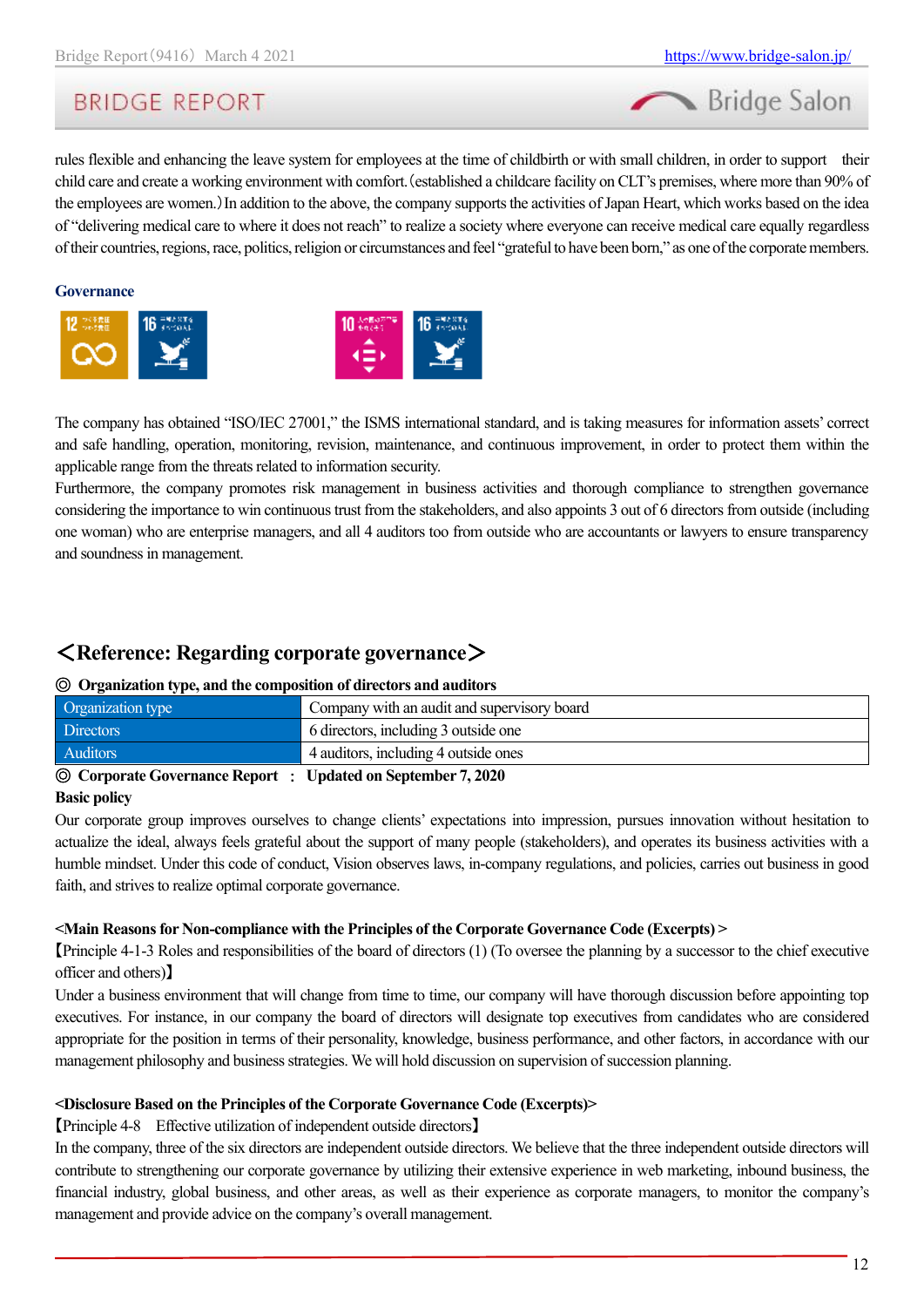

rules flexible and enhancing the leave system for employees at the time of childbirth or with small children, in order to support their child care and create a working environment with comfort.(established a childcare facility on CLT's premises, where more than 90% of the employees are women.)In addition to the above, the company supports the activities of Japan Heart, which works based on the idea of "delivering medical care to where it does not reach" to realize a society where everyone can receive medical care equally regardless of their countries, regions, race, politics, religion or circumstances and feel "grateful to have been born," as one of the corporate members.

#### **Governance**





The company has obtained "ISO/IEC 27001," the ISMS international standard, and is taking measures for information assets' correct and safe handling, operation, monitoring, revision, maintenance, and continuous improvement, in order to protect them within the applicable range from the threats related to information security.

Furthermore, the company promotes risk management in business activities and thorough compliance to strengthen governance considering the importance to win continuous trust from the stakeholders, and also appoints 3 out of 6 directors from outside (including one woman) who are enterprise managers, and all 4 auditors too from outside who are accountants or lawyers to ensure transparency and soundness in management.

## <span id="page-11-0"></span><**Reference: Regarding corporate governance**>

### ◎ **Organization type, and the composition of directors and auditors**

| Auditors<br>4 auditors, including 4 outside ones                 |  |
|------------------------------------------------------------------|--|
|                                                                  |  |
| <b>Directors</b><br>6 directors, including 3 outside one         |  |
| Organization type<br>Company with an audit and supervisory board |  |

◎ **Corporate Governance Report** : **Updated on September 7, 2020**

### **Basic policy**

Our corporate group improves ourselves to change clients' expectations into impression, pursues innovation without hesitation to actualize the ideal, always feels grateful about the support of many people (stakeholders), and operates its business activities with a humble mindset. Under this code of conduct, Vision observes laws, in-company regulations, and policies, carries out business in good faith, and strives to realize optimal corporate governance.

### **<Main Reasons for Non-compliance with the Principles of the Corporate Governance Code (Excerpts) >**

【Principle 4-1-3 Roles and responsibilities of the board of directors (1) (To oversee the planning by a successor to the chief executive officer and others)】

Under a business environment that will change from time to time, our company will have thorough discussion before appointing top executives. For instance, in our company the board of directors will designate top executives from candidates who are considered appropriate for the position in terms of their personality, knowledge, business performance, and other factors, in accordance with our management philosophy and business strategies. We will hold discussion on supervision of succession planning.

### **<Disclosure Based on the Principles of the Corporate Governance Code (Excerpts)>**

【Principle 4-8 Effective utilization of independent outside directors】

In the company, three of the six directors are independent outside directors. We believe that the three independent outside directors will contribute to strengthening our corporate governance by utilizing their extensive experience in web marketing, inbound business, the financial industry, global business, and other areas, as well as their experience as corporate managers, to monitor the company's management and provide advice on the company's overall management.